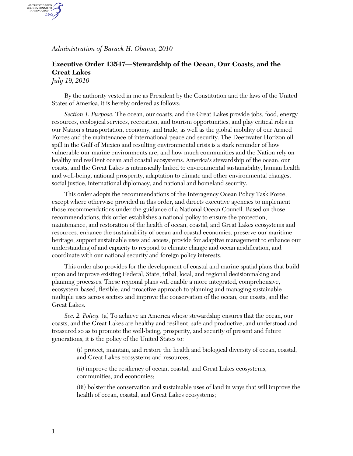*Administration of Barack H. Obama, 2010* 

## **Executive Order 13547—Stewardship of the Ocean, Our Coasts, and the Great Lakes**

*July 19, 2010* 

AUTHENTICATED<br>U.S. GOVERNMENT<br>INFORMATION GPO.

> By the authority vested in me as President by the Constitution and the laws of the United States of America, it is hereby ordered as follows:

*Section 1. Purpose.* The ocean, our coasts, and the Great Lakes provide jobs, food, energy resources, ecological services, recreation, and tourism opportunities, and play critical roles in our Nation's transportation, economy, and trade, as well as the global mobility of our Armed Forces and the maintenance of international peace and security. The Deepwater Horizon oil spill in the Gulf of Mexico and resulting environmental crisis is a stark reminder of how vulnerable our marine environments are, and how much communities and the Nation rely on healthy and resilient ocean and coastal ecosystems. America's stewardship of the ocean, our coasts, and the Great Lakes is intrinsically linked to environmental sustainability, human health and well-being, national prosperity, adaptation to climate and other environmental changes, social justice, international diplomacy, and national and homeland security.

This order adopts the recommendations of the Interagency Ocean Policy Task Force, except where otherwise provided in this order, and directs executive agencies to implement those recommendations under the guidance of a National Ocean Council. Based on those recommendations, this order establishes a national policy to ensure the protection, maintenance, and restoration of the health of ocean, coastal, and Great Lakes ecosystems and resources, enhance the sustainability of ocean and coastal economies, preserve our maritime heritage, support sustainable uses and access, provide for adaptive management to enhance our understanding of and capacity to respond to climate change and ocean acidification, and coordinate with our national security and foreign policy interests.

This order also provides for the development of coastal and marine spatial plans that build upon and improve existing Federal, State, tribal, local, and regional decisionmaking and planning processes. These regional plans will enable a more integrated, comprehensive, ecosystem-based, flexible, and proactive approach to planning and managing sustainable multiple uses across sectors and improve the conservation of the ocean, our coasts, and the Great Lakes.

*Sec. 2. Policy.* (a) To achieve an America whose stewardship ensures that the ocean, our coasts, and the Great Lakes are healthy and resilient, safe and productive, and understood and treasured so as to promote the well-being, prosperity, and security of present and future generations, it is the policy of the United States to:

(i) protect, maintain, and restore the health and biological diversity of ocean, coastal, and Great Lakes ecosystems and resources;

(ii) improve the resiliency of ocean, coastal, and Great Lakes ecosystems, communities, and economies;

(iii) bolster the conservation and sustainable uses of land in ways that will improve the health of ocean, coastal, and Great Lakes ecosystems;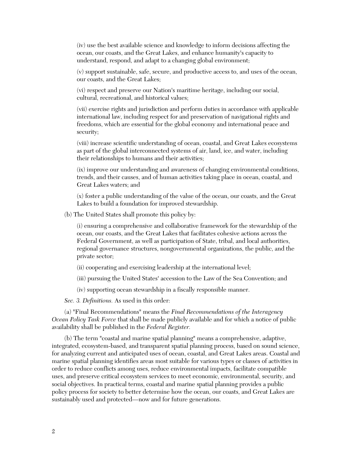(iv) use the best available science and knowledge to inform decisions affecting the ocean, our coasts, and the Great Lakes, and enhance humanity's capacity to understand, respond, and adapt to a changing global environment;

(v) support sustainable, safe, secure, and productive access to, and uses of the ocean, our coasts, and the Great Lakes;

(vi) respect and preserve our Nation's maritime heritage, including our social, cultural, recreational, and historical values;

(vii) exercise rights and jurisdiction and perform duties in accordance with applicable international law, including respect for and preservation of navigational rights and freedoms, which are essential for the global economy and international peace and security;

(viii) increase scientific understanding of ocean, coastal, and Great Lakes ecosystems as part of the global interconnected systems of air, land, ice, and water, including their relationships to humans and their activities;

(ix) improve our understanding and awareness of changing environmental conditions, trends, and their causes, and of human activities taking place in ocean, coastal, and Great Lakes waters; and

(x) foster a public understanding of the value of the ocean, our coasts, and the Great Lakes to build a foundation for improved stewardship.

(b) The United States shall promote this policy by:

(i) ensuring a comprehensive and collaborative framework for the stewardship of the ocean, our coasts, and the Great Lakes that facilitates cohesive actions across the Federal Government, as well as participation of State, tribal, and local authorities, regional governance structures, nongovernmental organizations, the public, and the private sector;

(ii) cooperating and exercising leadership at the international level;

(iii) pursuing the United States' accession to the Law of the Sea Convention; and

(iv) supporting ocean stewardship in a fiscally responsible manner.

*Sec. 3. Definitions.* As used in this order:

(a) "Final Recommendations" means the *Final Recommendations of the Interagency Ocean Policy Task Force* that shall be made publicly available and for which a notice of public availability shall be published in the *Federal Register.*

(b) The term "coastal and marine spatial planning" means a comprehensive, adaptive, integrated, ecosystem-based, and transparent spatial planning process, based on sound science, for analyzing current and anticipated uses of ocean, coastal, and Great Lakes areas. Coastal and marine spatial planning identifies areas most suitable for various types or classes of activities in order to reduce conflicts among uses, reduce environmental impacts, facilitate compatible uses, and preserve critical ecosystem services to meet economic, environmental, security, and social objectives. In practical terms, coastal and marine spatial planning provides a public policy process for society to better determine how the ocean, our coasts, and Great Lakes are sustainably used and protected—now and for future generations.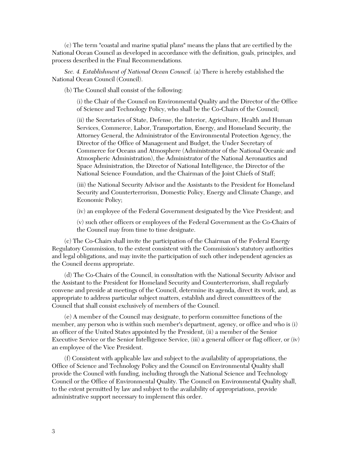(c) The term "coastal and marine spatial plans" means the plans that are certified by the National Ocean Council as developed in accordance with the definition, goals, principles, and process described in the Final Recommendations.

*Sec. 4. Establishment of National Ocean Council.* (a) There is hereby established the National Ocean Council (Council).

(b) The Council shall consist of the following:

(i) the Chair of the Council on Environmental Quality and the Director of the Office of Science and Technology Policy, who shall be the Co-Chairs of the Council;

(ii) the Secretaries of State, Defense, the Interior, Agriculture, Health and Human Services, Commerce, Labor, Transportation, Energy, and Homeland Security, the Attorney General, the Administrator of the Environmental Protection Agency, the Director of the Office of Management and Budget, the Under Secretary of Commerce for Oceans and Atmosphere (Administrator of the National Oceanic and Atmospheric Administration), the Administrator of the National Aeronautics and Space Administration, the Director of National Intelligence, the Director of the National Science Foundation, and the Chairman of the Joint Chiefs of Staff;

(iii) the National Security Advisor and the Assistants to the President for Homeland Security and Counterterrorism, Domestic Policy, Energy and Climate Change, and Economic Policy;

(iv) an employee of the Federal Government designated by the Vice President; and

(v) such other officers or employees of the Federal Government as the Co-Chairs of the Council may from time to time designate.

(c) The Co-Chairs shall invite the participation of the Chairman of the Federal Energy Regulatory Commission, to the extent consistent with the Commission's statutory authorities and legal obligations, and may invite the participation of such other independent agencies as the Council deems appropriate.

(d) The Co-Chairs of the Council, in consultation with the National Security Advisor and the Assistant to the President for Homeland Security and Counterterrorism, shall regularly convene and preside at meetings of the Council, determine its agenda, direct its work, and, as appropriate to address particular subject matters, establish and direct committees of the Council that shall consist exclusively of members of the Council.

(e) A member of the Council may designate, to perform committee functions of the member, any person who is within such member's department, agency, or office and who is (i) an officer of the United States appointed by the President, (ii) a member of the Senior Executive Service or the Senior Intelligence Service, (iii) a general officer or flag officer, or (iv) an employee of the Vice President.

(f) Consistent with applicable law and subject to the availability of appropriations, the Office of Science and Technology Policy and the Council on Environmental Quality shall provide the Council with funding, including through the National Science and Technology Council or the Office of Environmental Quality. The Council on Environmental Quality shall, to the extent permitted by law and subject to the availability of appropriations, provide administrative support necessary to implement this order.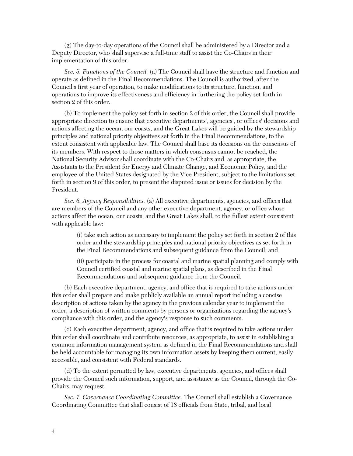(g) The day-to-day operations of the Council shall be administered by a Director and a Deputy Director, who shall supervise a full-time staff to assist the Co-Chairs in their implementation of this order.

*Sec. 5. Functions of the Council.* (a) The Council shall have the structure and function and operate as defined in the Final Recommendations. The Council is authorized, after the Council's first year of operation, to make modifications to its structure, function, and operations to improve its effectiveness and efficiency in furthering the policy set forth in section 2 of this order.

(b) To implement the policy set forth in section 2 of this order, the Council shall provide appropriate direction to ensure that executive departments', agencies', or offices' decisions and actions affecting the ocean, our coasts, and the Great Lakes will be guided by the stewardship principles and national priority objectives set forth in the Final Recommendations, to the extent consistent with applicable law. The Council shall base its decisions on the consensus of its members. With respect to those matters in which consensus cannot be reached, the National Security Advisor shall coordinate with the Co-Chairs and, as appropriate, the Assistants to the President for Energy and Climate Change, and Economic Policy, and the employee of the United States designated by the Vice President, subject to the limitations set forth in section 9 of this order, to present the disputed issue or issues for decision by the President.

*Sec. 6. Agency Responsibilities.* (a) All executive departments, agencies, and offices that are members of the Council and any other executive department, agency, or office whose actions affect the ocean, our coasts, and the Great Lakes shall, to the fullest extent consistent with applicable law:

> (i) take such action as necessary to implement the policy set forth in section 2 of this order and the stewardship principles and national priority objectives as set forth in the Final Recommendations and subsequent guidance from the Council; and

> (ii) participate in the process for coastal and marine spatial planning and comply with Council certified coastal and marine spatial plans, as described in the Final Recommendations and subsequent guidance from the Council.

(b) Each executive department, agency, and office that is required to take actions under this order shall prepare and make publicly available an annual report including a concise description of actions taken by the agency in the previous calendar year to implement the order, a description of written comments by persons or organizations regarding the agency's compliance with this order, and the agency's response to such comments.

(c) Each executive department, agency, and office that is required to take actions under this order shall coordinate and contribute resources, as appropriate, to assist in establishing a common information management system as defined in the Final Recommendations and shall be held accountable for managing its own information assets by keeping them current, easily accessible, and consistent with Federal standards.

(d) To the extent permitted by law, executive departments, agencies, and offices shall provide the Council such information, support, and assistance as the Council, through the Co-Chairs, may request.

*Sec. 7. Governance Coordinating Committee.* The Council shall establish a Governance Coordinating Committee that shall consist of 18 officials from State, tribal, and local